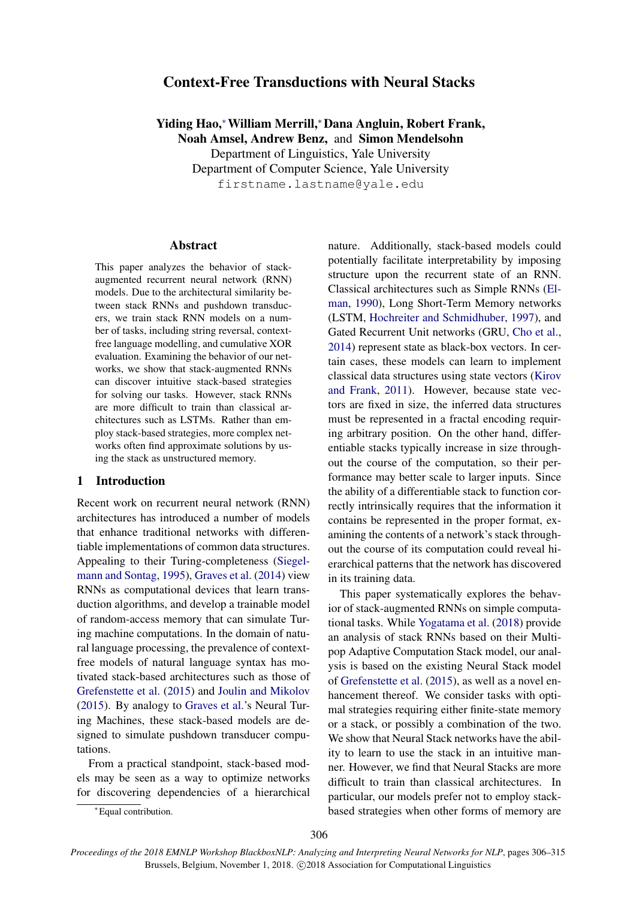# Context-Free Transductions with Neural Stacks

Yiding Hao,<sup>∗</sup>William Merrill,<sup>∗</sup>Dana Angluin, Robert Frank, Noah Amsel, Andrew Benz, and Simon Mendelsohn Department of Linguistics, Yale University Department of Computer Science, Yale University

firstname.lastname@yale.edu

# Abstract

This paper analyzes the behavior of stackaugmented recurrent neural network (RNN) models. Due to the architectural similarity between stack RNNs and pushdown transducers, we train stack RNN models on a number of tasks, including string reversal, contextfree language modelling, and cumulative XOR evaluation. Examining the behavior of our networks, we show that stack-augmented RNNs can discover intuitive stack-based strategies for solving our tasks. However, stack RNNs are more difficult to train than classical architectures such as LSTMs. Rather than employ stack-based strategies, more complex networks often find approximate solutions by using the stack as unstructured memory.

# 1 Introduction

Recent work on recurrent neural network (RNN) architectures has introduced a number of models that enhance traditional networks with differentiable implementations of common data structures. Appealing to their Turing-completeness [\(Siegel](#page-9-0)[mann and Sontag,](#page-9-0) [1995\)](#page-9-0), [Graves et al.](#page-9-1) [\(2014\)](#page-9-1) view RNNs as computational devices that learn transduction algorithms, and develop a trainable model of random-access memory that can simulate Turing machine computations. In the domain of natural language processing, the prevalence of contextfree models of natural language syntax has motivated stack-based architectures such as those of [Grefenstette et al.](#page-9-2) [\(2015\)](#page-9-2) and [Joulin and Mikolov](#page-9-3) [\(2015\)](#page-9-3). By analogy to [Graves et al.'](#page-9-1)s Neural Turing Machines, these stack-based models are designed to simulate pushdown transducer computations.

From a practical standpoint, stack-based models may be seen as a way to optimize networks for discovering dependencies of a hierarchical nature. Additionally, stack-based models could potentially facilitate interpretability by imposing structure upon the recurrent state of an RNN. Classical architectures such as Simple RNNs [\(El](#page-9-4)[man,](#page-9-4) [1990\)](#page-9-4), Long Short-Term Memory networks (LSTM, [Hochreiter and Schmidhuber,](#page-9-5) [1997\)](#page-9-5), and Gated Recurrent Unit networks (GRU, [Cho et al.,](#page-9-6) [2014\)](#page-9-6) represent state as black-box vectors. In certain cases, these models can learn to implement classical data structures using state vectors [\(Kirov](#page-9-7) [and Frank,](#page-9-7) [2011\)](#page-9-7). However, because state vectors are fixed in size, the inferred data structures must be represented in a fractal encoding requiring arbitrary position. On the other hand, differentiable stacks typically increase in size throughout the course of the computation, so their performance may better scale to larger inputs. Since the ability of a differentiable stack to function correctly intrinsically requires that the information it contains be represented in the proper format, examining the contents of a network's stack throughout the course of its computation could reveal hierarchical patterns that the network has discovered in its training data.

This paper systematically explores the behavior of stack-augmented RNNs on simple computational tasks. While [Yogatama et al.](#page-9-8) [\(2018\)](#page-9-8) provide an analysis of stack RNNs based on their Multipop Adaptive Computation Stack model, our analysis is based on the existing Neural Stack model of [Grefenstette et al.](#page-9-2) [\(2015\)](#page-9-2), as well as a novel enhancement thereof. We consider tasks with optimal strategies requiring either finite-state memory or a stack, or possibly a combination of the two. We show that Neural Stack networks have the ability to learn to use the stack in an intuitive manner. However, we find that Neural Stacks are more difficult to train than classical architectures. In particular, our models prefer not to employ stackbased strategies when other forms of memory are

<sup>∗</sup>Equal contribution.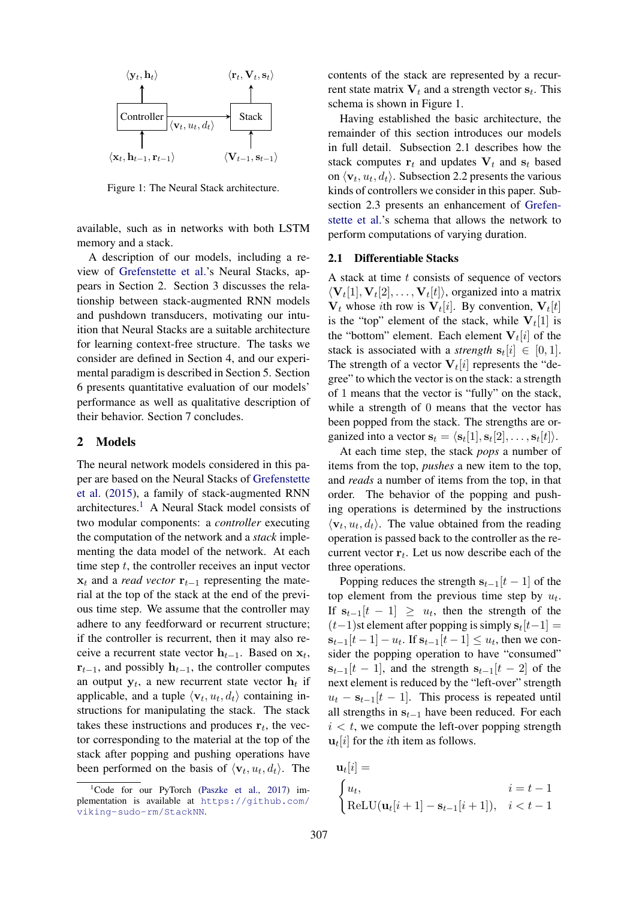

Figure 1: The Neural Stack architecture.

available, such as in networks with both LSTM memory and a stack.

A description of our models, including a review of [Grefenstette et al.'](#page-9-2)s Neural Stacks, appears in Section 2. Section 3 discusses the relationship between stack-augmented RNN models and pushdown transducers, motivating our intuition that Neural Stacks are a suitable architecture for learning context-free structure. The tasks we consider are defined in Section 4, and our experimental paradigm is described in Section 5. Section 6 presents quantitative evaluation of our models' performance as well as qualitative description of their behavior. Section 7 concludes.

# 2 Models

The neural network models considered in this paper are based on the Neural Stacks of [Grefenstette](#page-9-2) [et al.](#page-9-2) [\(2015\)](#page-9-2), a family of stack-augmented RNN architectures.[1](#page-1-0) A Neural Stack model consists of two modular components: a *controller* executing the computation of the network and a *stack* implementing the data model of the network. At each time step  $t$ , the controller receives an input vector  $x_t$  and a *read vector*  $\mathbf{r}_{t-1}$  representing the material at the top of the stack at the end of the previous time step. We assume that the controller may adhere to any feedforward or recurrent structure; if the controller is recurrent, then it may also receive a recurrent state vector  $h_{t-1}$ . Based on  $x_t$ ,  $\mathbf{r}_{t-1}$ , and possibly  $\mathbf{h}_{t-1}$ , the controller computes an output  $y_t$ , a new recurrent state vector  $h_t$  if applicable, and a tuple  $\langle \mathbf{v}_t, u_t, d_t \rangle$  containing instructions for manipulating the stack. The stack takes these instructions and produces  $r_t$ , the vector corresponding to the material at the top of the stack after popping and pushing operations have been performed on the basis of  $\langle \mathbf{v}_t, u_t, d_t \rangle$ . The

contents of the stack are represented by a recurrent state matrix  $V_t$  and a strength vector  $s_t$ . This schema is shown in Figure 1.

Having established the basic architecture, the remainder of this section introduces our models in full detail. Subsection 2.1 describes how the stack computes  $r_t$  and updates  $V_t$  and  $s_t$  based on  $\langle \mathbf{v}_t, u_t, d_t \rangle$ . Subsection 2.2 presents the various kinds of controllers we consider in this paper. Subsection 2.3 presents an enhancement of [Grefen](#page-9-2)[stette et al.'](#page-9-2)s schema that allows the network to perform computations of varying duration.

### 2.1 Differentiable Stacks

A stack at time  $t$  consists of sequence of vectors  $\langle \mathbf{V}_t[1], \mathbf{V}_t[2], \ldots, \mathbf{V}_t[t] \rangle$ , organized into a matrix  $V_t$  whose *i*th row is  $V_t[i]$ . By convention,  $V_t[t]$ is the "top" element of the stack, while  $V_t[1]$  is the "bottom" element. Each element  $V_t[i]$  of the stack is associated with a *strength*  $s_t[i] \in [0,1]$ . The strength of a vector  $V_t[i]$  represents the "degree" to which the vector is on the stack: a strength of 1 means that the vector is "fully" on the stack, while a strength of 0 means that the vector has been popped from the stack. The strengths are organized into a vector  $\mathbf{s}_t = \langle \mathbf{s}_t[1], \mathbf{s}_t[2], \dots, \mathbf{s}_t[t] \rangle$ .

At each time step, the stack *pops* a number of items from the top, *pushes* a new item to the top, and *reads* a number of items from the top, in that order. The behavior of the popping and pushing operations is determined by the instructions  $\langle \mathbf{v}_t, u_t, d_t \rangle$ . The value obtained from the reading operation is passed back to the controller as the recurrent vector  $r_t$ . Let us now describe each of the three operations.

Popping reduces the strength  $s_{t-1}[t-1]$  of the top element from the previous time step by  $u_t$ . If  $s_{t-1}[t-1] \geq u_t$ , then the strength of the  $(t-1)$ st element after popping is simply  $s_t[t-1] =$  $s_{t-1}[t-1] - u_t$ . If  $s_{t-1}[t-1] \le u_t$ , then we consider the popping operation to have "consumed"  $s_{t-1}[t-1]$ , and the strength  $s_{t-1}[t-2]$  of the next element is reduced by the "left-over" strength  $u_t - s_{t-1}[t-1]$ . This process is repeated until all strengths in  $s_{t-1}$  have been reduced. For each  $i < t$ , we compute the left-over popping strength  $\mathbf{u}_t[i]$  for the *i*th item as follows.

$$
\mathbf{u}_t[i] =
$$
\n
$$
\begin{cases}\nu_t, & i = t - 1 \\
\text{ReLU}(\mathbf{u}_t[i+1] - \mathbf{s}_{t-1}[i+1]), & i < t - 1\n\end{cases}
$$

<span id="page-1-0"></span><sup>&</sup>lt;sup>1</sup>Code for our PyTorch [\(Paszke et al.,](#page-9-9) [2017\)](#page-9-9) implementation is available at [https://github.com/](https://github.com/viking-sudo-rm/StackNN) [viking-sudo-rm/StackNN](https://github.com/viking-sudo-rm/StackNN).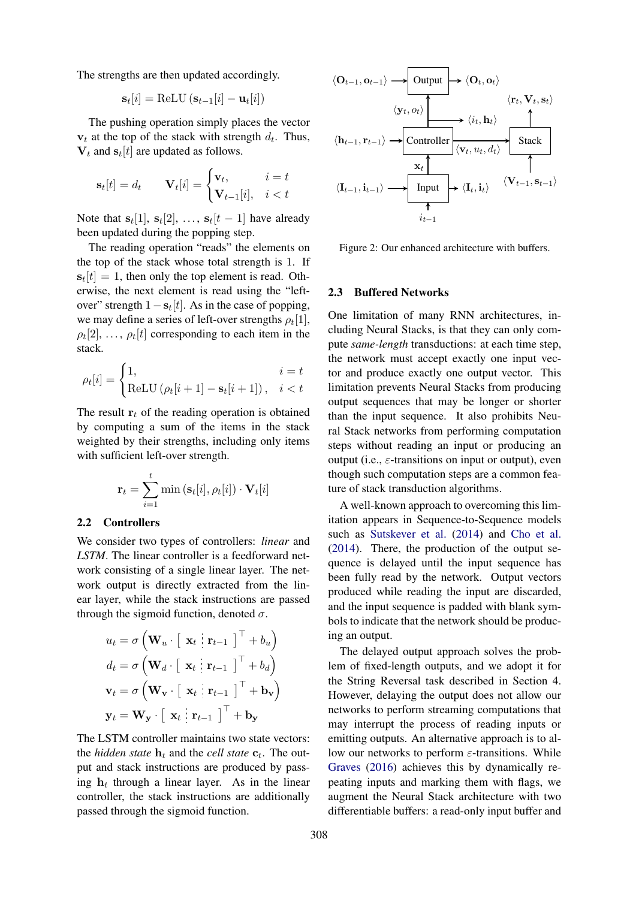The strengths are then updated accordingly.

$$
\mathbf{s}_t[i] = \text{ReLU}\left(\mathbf{s}_{t-1}[i] - \mathbf{u}_t[i]\right)
$$

The pushing operation simply places the vector  $v_t$  at the top of the stack with strength  $d_t$ . Thus,  $V_t$  and  $s_t[t]$  are updated as follows.

$$
\mathbf{s}_t[t] = d_t \qquad \mathbf{V}_t[i] = \begin{cases} \mathbf{v}_t, & i = t \\ \mathbf{V}_{t-1}[i], & i < t \end{cases}
$$

Note that  $s_t[1], s_t[2], \ldots, s_t[t-1]$  have already been updated during the popping step.

The reading operation "reads" the elements on the top of the stack whose total strength is 1. If  $s_t[t] = 1$ , then only the top element is read. Otherwise, the next element is read using the "leftover" strength  $1 - s_t[t]$ . As in the case of popping, we may define a series of left-over strengths  $\rho_t[1]$ ,  $\rho_t[2], \ldots, \rho_t[t]$  corresponding to each item in the stack.

$$
\rho_t[i] = \begin{cases} 1, & i = t \\ \text{ReLU} \left( \rho_t[i+1] - \mathbf{s}_t[i+1] \right), & i < t \end{cases}
$$

The result  $r_t$  of the reading operation is obtained by computing a sum of the items in the stack weighted by their strengths, including only items with sufficient left-over strength.

$$
\mathbf{r}_t = \sum_{i=1}^t \min\left(\mathbf{s}_t[i], \rho_t[i]\right) \cdot \mathbf{V}_t[i]
$$

# 2.2 Controllers

We consider two types of controllers: *linear* and *LSTM*. The linear controller is a feedforward network consisting of a single linear layer. The network output is directly extracted from the linear layer, while the stack instructions are passed through the sigmoid function, denoted  $\sigma$ .

$$
u_t = \sigma \left(\mathbf{W}_u \cdot \begin{bmatrix} \mathbf{x}_t & \mathbf{r}_{t-1} \end{bmatrix}^\top + b_u\right)
$$
  
\n
$$
d_t = \sigma \left(\mathbf{W}_d \cdot \begin{bmatrix} \mathbf{x}_t & \mathbf{r}_{t-1} \end{bmatrix}^\top + b_d\right)
$$
  
\n
$$
\mathbf{v}_t = \sigma \left(\mathbf{W}_\mathbf{v} \cdot \begin{bmatrix} \mathbf{x}_t & \mathbf{r}_{t-1} \end{bmatrix}^\top + \mathbf{b}_\mathbf{v}\right)
$$
  
\n
$$
\mathbf{y}_t = \mathbf{W}_\mathbf{y} \cdot \begin{bmatrix} \mathbf{x}_t & \mathbf{r}_{t-1} \end{bmatrix}^\top + \mathbf{b}_\mathbf{y}
$$

The LSTM controller maintains two state vectors: the *hidden state*  $\mathbf{h}_t$  and the *cell state*  $\mathbf{c}_t$ . The output and stack instructions are produced by passing  $h_t$  through a linear layer. As in the linear controller, the stack instructions are additionally passed through the sigmoid function.

$$
\langle O_{t-1}, o_{t-1} \rangle \longrightarrow \boxed{\text{Output}}
$$
\n
$$
\begin{array}{c}\n\langle O_t, o_t \rangle \\
\langle v_t, o_t \rangle\n\end{array}\n\longrightarrow\n\begin{array}{c}\n\langle O_t, o_t \rangle \\
\langle r_t, V_t, s_t \rangle\n\end{array}\n\longrightarrow\n\begin{array}{c}\n\langle r_t, V_t, s_t \rangle \\
\langle h_{t-1}, r_{t-1} \rangle\n\end{array}\n\longrightarrow\n\begin{array}{c}\n\langle \text{Controller} \rangle \\
\langle v_t, u_t, d_t \rangle\n\end{array}\n\longrightarrow\n\begin{array}{c}\n\langle \text{Stack} \rangle \\
\langle I_{t-1}, i_{t-1} \rangle\n\end{array}\n\longrightarrow\n\begin{array}{c}\n\langle V_{t-1}, s_{t-1} \rangle \\
\langle V_{t-1}, s_{t-1} \rangle\n\end{array}
$$

Figure 2: Our enhanced architecture with buffers.

# 2.3 Buffered Networks

One limitation of many RNN architectures, including Neural Stacks, is that they can only compute *same-length* transductions: at each time step, the network must accept exactly one input vector and produce exactly one output vector. This limitation prevents Neural Stacks from producing output sequences that may be longer or shorter than the input sequence. It also prohibits Neural Stack networks from performing computation steps without reading an input or producing an output (i.e.,  $\varepsilon$ -transitions on input or output), even though such computation steps are a common feature of stack transduction algorithms.

A well-known approach to overcoming this limitation appears in Sequence-to-Sequence models such as [Sutskever et al.](#page-9-10) [\(2014\)](#page-9-10) and [Cho et al.](#page-9-6) [\(2014\)](#page-9-6). There, the production of the output sequence is delayed until the input sequence has been fully read by the network. Output vectors produced while reading the input are discarded, and the input sequence is padded with blank symbols to indicate that the network should be producing an output.

The delayed output approach solves the problem of fixed-length outputs, and we adopt it for the String Reversal task described in Section 4. However, delaying the output does not allow our networks to perform streaming computations that may interrupt the process of reading inputs or emitting outputs. An alternative approach is to allow our networks to perform  $\varepsilon$ -transitions. While [Graves](#page-9-11) [\(2016\)](#page-9-11) achieves this by dynamically repeating inputs and marking them with flags, we augment the Neural Stack architecture with two differentiable buffers: a read-only input buffer and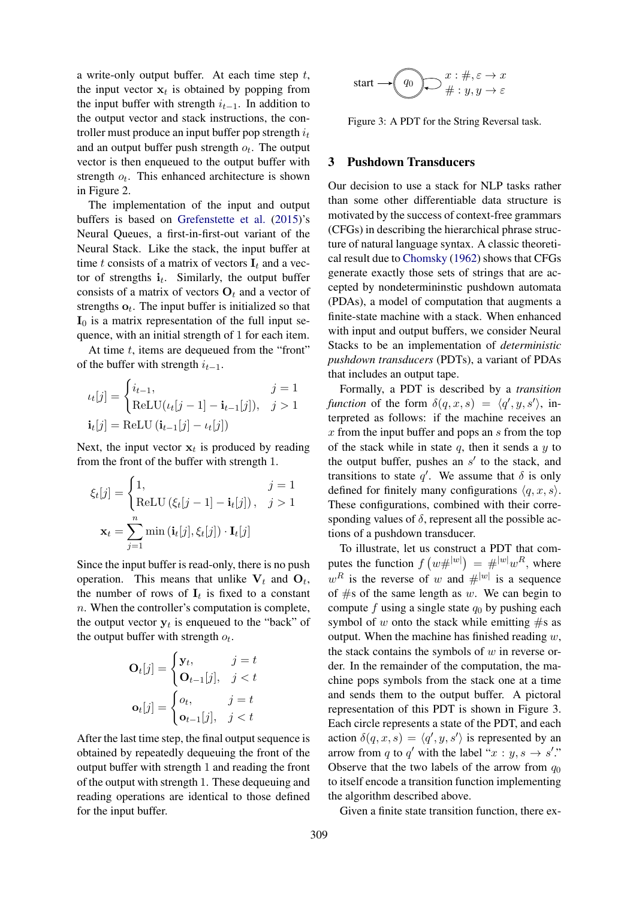a write-only output buffer. At each time step  $t$ , the input vector  $x_t$  is obtained by popping from the input buffer with strength  $i_{t-1}$ . In addition to the output vector and stack instructions, the controller must produce an input buffer pop strength  $i_t$ and an output buffer push strength  $o_t$ . The output vector is then enqueued to the output buffer with strength  $o_t$ . This enhanced architecture is shown in Figure 2.

The implementation of the input and output buffers is based on [Grefenstette et al.](#page-9-2) [\(2015\)](#page-9-2)'s Neural Queues, a first-in-first-out variant of the Neural Stack. Like the stack, the input buffer at time t consists of a matrix of vectors  $I_t$  and a vector of strengths  $\mathbf{i}_t$ . Similarly, the output buffer consists of a matrix of vectors  $O_t$  and a vector of strengths  $o_t$ . The input buffer is initialized so that  $I_0$  is a matrix representation of the full input sequence, with an initial strength of 1 for each item.

At time  $t$ , items are dequeued from the "front" of the buffer with strength  $i_{t-1}$ .

$$
\iota_t[j] = \begin{cases} i_{t-1}, & j = 1\\ \text{ReLU}(\iota_t[j-1] - \mathbf{i}_{t-1}[j]), & j > 1 \end{cases}
$$

$$
\mathbf{i}_t[j] = \text{ReLU}(\mathbf{i}_{t-1}[j] - \iota_t[j])
$$

Next, the input vector  $x_t$  is produced by reading from the front of the buffer with strength 1.

$$
\xi_t[j] = \begin{cases} 1, & j = 1 \\ \text{ReLU}(\xi_t[j-1] - \mathbf{i}_t[j]), & j > 1 \end{cases}
$$

$$
\mathbf{x}_t = \sum_{j=1}^n \min(\mathbf{i}_t[j], \xi_t[j]) \cdot \mathbf{I}_t[j]
$$

Since the input buffer is read-only, there is no push operation. This means that unlike  $V_t$  and  $O_t$ , the number of rows of  $I_t$  is fixed to a constant n. When the controller's computation is complete, the output vector  $y_t$  is enqueued to the "back" of the output buffer with strength  $o_t$ .

$$
\mathbf{O}_t[j] = \begin{cases} \mathbf{y}_t, & j = t \\ \mathbf{O}_{t-1}[j], & j < t \end{cases}
$$

$$
\mathbf{o}_t[j] = \begin{cases} o_t, & j = t \\ \mathbf{o}_{t-1}[j], & j < t \end{cases}
$$

After the last time step, the final output sequence is obtained by repeatedly dequeuing the front of the output buffer with strength 1 and reading the front of the output with strength 1. These dequeuing and reading operations are identical to those defined for the input buffer.

start 
$$
\rightarrow
$$
  $\begin{pmatrix} q_0 \\ \downarrow \end{pmatrix}$   $\rightarrow$   $\begin{pmatrix} x : \# , \varepsilon \to x \\ \# : y, y \to \varepsilon \end{pmatrix}$ 

Figure 3: A PDT for the String Reversal task.

# 3 Pushdown Transducers

Our decision to use a stack for NLP tasks rather than some other differentiable data structure is motivated by the success of context-free grammars (CFGs) in describing the hierarchical phrase structure of natural language syntax. A classic theoretical result due to [Chomsky](#page-9-12) [\(1962\)](#page-9-12) shows that CFGs generate exactly those sets of strings that are accepted by nondetermininstic pushdown automata (PDAs), a model of computation that augments a finite-state machine with a stack. When enhanced with input and output buffers, we consider Neural Stacks to be an implementation of *deterministic pushdown transducers* (PDTs), a variant of PDAs that includes an output tape.

Formally, a PDT is described by a *transition function* of the form  $\delta(q, x, s) = \langle q', y, s' \rangle$ , interpreted as follows: if the machine receives an  $x$  from the input buffer and pops an  $s$  from the top of the stack while in state  $q$ , then it sends a  $y$  to the output buffer, pushes an  $s'$  to the stack, and transitions to state q'. We assume that  $\delta$  is only defined for finitely many configurations  $\langle q, x, s \rangle$ . These configurations, combined with their corresponding values of  $\delta$ , represent all the possible actions of a pushdown transducer.

To illustrate, let us construct a PDT that computes the function  $f(w\#^{|w|}) = \#^{|w|}w^R$ , where  $w<sup>R</sup>$  is the reverse of w and  $\#^{|w|}$  is a sequence of  $#s$  of the same length as w. We can begin to compute f using a single state  $q_0$  by pushing each symbol of w onto the stack while emitting  $#s$  as output. When the machine has finished reading  $w$ , the stack contains the symbols of  $w$  in reverse order. In the remainder of the computation, the machine pops symbols from the stack one at a time and sends them to the output buffer. A pictoral representation of this PDT is shown in Figure 3. Each circle represents a state of the PDT, and each action  $\delta(q, x, s) = \langle q', y, s' \rangle$  is represented by an arrow from q to q' with the label " $x : y, s \rightarrow s'$ ." Observe that the two labels of the arrow from  $q_0$ to itself encode a transition function implementing the algorithm described above.

Given a finite state transition function, there ex-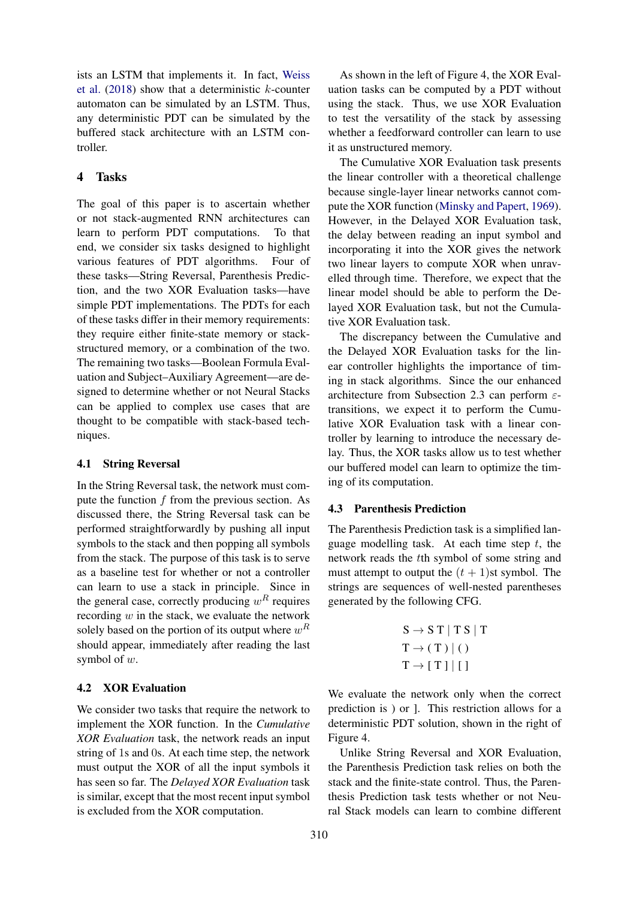ists an LSTM that implements it. In fact, [Weiss](#page-9-13) [et al.](#page-9-13)  $(2018)$  show that a deterministic k-counter automaton can be simulated by an LSTM. Thus, any deterministic PDT can be simulated by the buffered stack architecture with an LSTM controller.

# 4 Tasks

The goal of this paper is to ascertain whether or not stack-augmented RNN architectures can learn to perform PDT computations. To that end, we consider six tasks designed to highlight various features of PDT algorithms. Four of these tasks—String Reversal, Parenthesis Prediction, and the two XOR Evaluation tasks—have simple PDT implementations. The PDTs for each of these tasks differ in their memory requirements: they require either finite-state memory or stackstructured memory, or a combination of the two. The remaining two tasks—Boolean Formula Evaluation and Subject–Auxiliary Agreement—are designed to determine whether or not Neural Stacks can be applied to complex use cases that are thought to be compatible with stack-based techniques.

#### 4.1 String Reversal

In the String Reversal task, the network must compute the function  $f$  from the previous section. As discussed there, the String Reversal task can be performed straightforwardly by pushing all input symbols to the stack and then popping all symbols from the stack. The purpose of this task is to serve as a baseline test for whether or not a controller can learn to use a stack in principle. Since in the general case, correctly producing  $w<sup>R</sup>$  requires recording  $w$  in the stack, we evaluate the network solely based on the portion of its output where  $w^R$ should appear, immediately after reading the last symbol of w.

# 4.2 XOR Evaluation

We consider two tasks that require the network to implement the XOR function. In the *Cumulative XOR Evaluation* task, the network reads an input string of 1s and 0s. At each time step, the network must output the XOR of all the input symbols it has seen so far. The *Delayed XOR Evaluation* task is similar, except that the most recent input symbol is excluded from the XOR computation.

As shown in the left of Figure 4, the XOR Evaluation tasks can be computed by a PDT without using the stack. Thus, we use XOR Evaluation to test the versatility of the stack by assessing whether a feedforward controller can learn to use it as unstructured memory.

The Cumulative XOR Evaluation task presents the linear controller with a theoretical challenge because single-layer linear networks cannot compute the XOR function [\(Minsky and Papert,](#page-9-14) [1969\)](#page-9-14). However, in the Delayed XOR Evaluation task, the delay between reading an input symbol and incorporating it into the XOR gives the network two linear layers to compute XOR when unravelled through time. Therefore, we expect that the linear model should be able to perform the Delayed XOR Evaluation task, but not the Cumulative XOR Evaluation task.

The discrepancy between the Cumulative and the Delayed XOR Evaluation tasks for the linear controller highlights the importance of timing in stack algorithms. Since the our enhanced architecture from Subsection 2.3 can perform  $\varepsilon$ transitions, we expect it to perform the Cumulative XOR Evaluation task with a linear controller by learning to introduce the necessary delay. Thus, the XOR tasks allow us to test whether our buffered model can learn to optimize the timing of its computation.

# 4.3 Parenthesis Prediction

The Parenthesis Prediction task is a simplified language modelling task. At each time step  $t$ , the network reads the tth symbol of some string and must attempt to output the  $(t + 1)$ st symbol. The strings are sequences of well-nested parentheses generated by the following CFG.

$$
S \rightarrow S T | T S | T T \rightarrow (T) | () T \rightarrow [T] | []
$$

We evaluate the network only when the correct prediction is ) or ]. This restriction allows for a deterministic PDT solution, shown in the right of Figure 4.

Unlike String Reversal and XOR Evaluation, the Parenthesis Prediction task relies on both the stack and the finite-state control. Thus, the Parenthesis Prediction task tests whether or not Neural Stack models can learn to combine different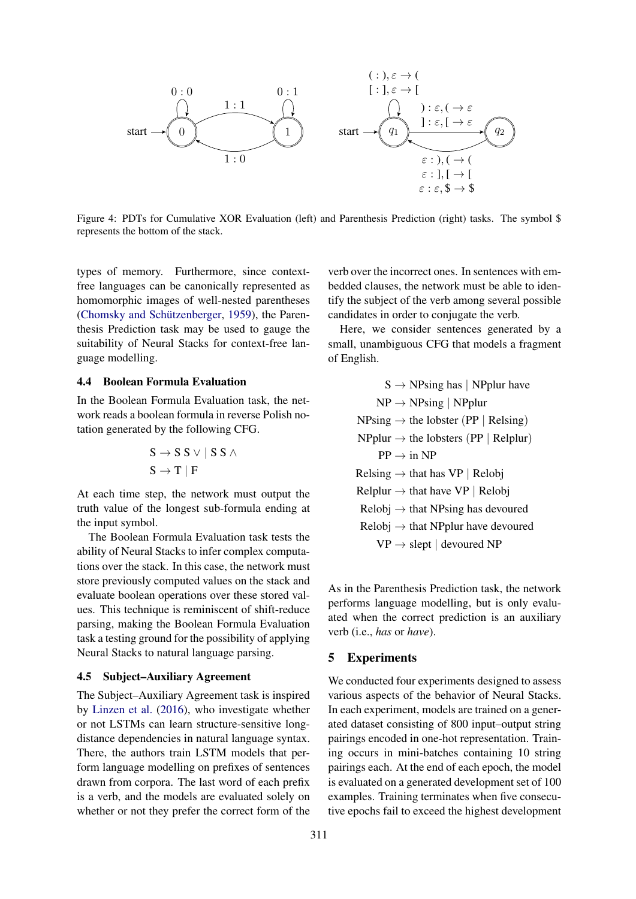

Figure 4: PDTs for Cumulative XOR Evaluation (left) and Parenthesis Prediction (right) tasks. The symbol \$ represents the bottom of the stack.

types of memory. Furthermore, since contextfree languages can be canonically represented as homomorphic images of well-nested parentheses (Chomsky and Schützenberger, [1959\)](#page-9-15), the Parenthesis Prediction task may be used to gauge the suitability of Neural Stacks for context-free language modelling.

# 4.4 Boolean Formula Evaluation

In the Boolean Formula Evaluation task, the network reads a boolean formula in reverse Polish notation generated by the following CFG.

$$
S \to S S \lor | S S \land S \to T | F
$$

At each time step, the network must output the truth value of the longest sub-formula ending at the input symbol.

The Boolean Formula Evaluation task tests the ability of Neural Stacks to infer complex computations over the stack. In this case, the network must store previously computed values on the stack and evaluate boolean operations over these stored values. This technique is reminiscent of shift-reduce parsing, making the Boolean Formula Evaluation task a testing ground for the possibility of applying Neural Stacks to natural language parsing.

#### 4.5 Subject–Auxiliary Agreement

The Subject–Auxiliary Agreement task is inspired by [Linzen et al.](#page-9-16) [\(2016\)](#page-9-16), who investigate whether or not LSTMs can learn structure-sensitive longdistance dependencies in natural language syntax. There, the authors train LSTM models that perform language modelling on prefixes of sentences drawn from corpora. The last word of each prefix is a verb, and the models are evaluated solely on whether or not they prefer the correct form of the

verb over the incorrect ones. In sentences with embedded clauses, the network must be able to identify the subject of the verb among several possible candidates in order to conjugate the verb.

Here, we consider sentences generated by a small, unambiguous CFG that models a fragment of English.

> $S \rightarrow NPsing has | NPplur have$  $NP \rightarrow NP\$ Sing | NPplur  $NPsing \rightarrow the lobster (PP | Relsing)$  $NP$ plur  $\rightarrow$  the lobsters (PP | Relplur)  $PP \rightarrow in NP$  $Relsing \rightarrow that has VP | Relobj$  $Rel$ plur  $\rightarrow$  that have VP | Relobj  $Relobi \rightarrow that NPsing has devoured$  $Relobj \rightarrow that NPplur$  have devoured

 $VP \rightarrow$  slept | devoured NP

As in the Parenthesis Prediction task, the network performs language modelling, but is only evaluated when the correct prediction is an auxiliary verb (i.e., *has* or *have*).

# 5 Experiments

We conducted four experiments designed to assess various aspects of the behavior of Neural Stacks. In each experiment, models are trained on a generated dataset consisting of 800 input–output string pairings encoded in one-hot representation. Training occurs in mini-batches containing 10 string pairings each. At the end of each epoch, the model is evaluated on a generated development set of 100 examples. Training terminates when five consecutive epochs fail to exceed the highest development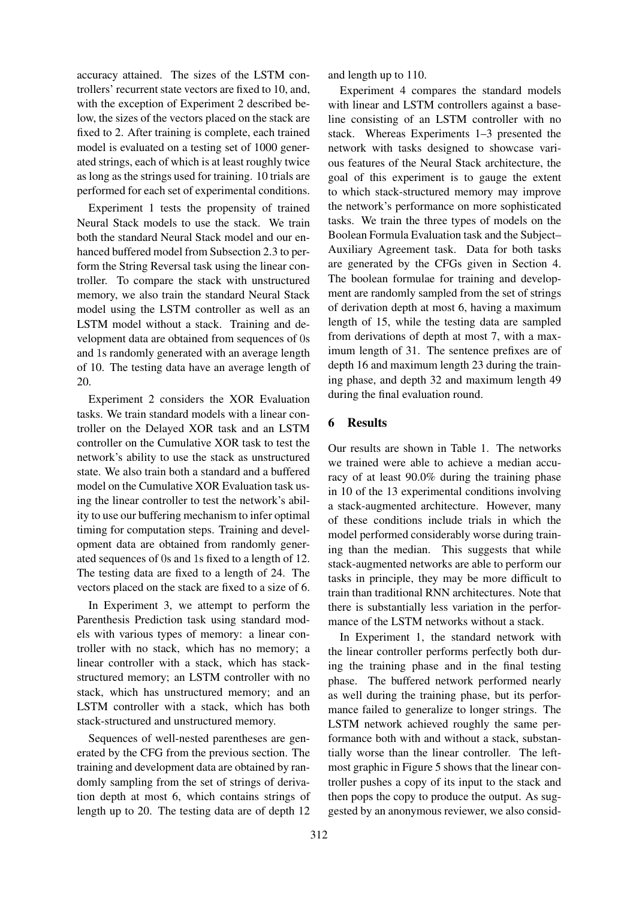accuracy attained. The sizes of the LSTM controllers' recurrent state vectors are fixed to 10, and, with the exception of Experiment 2 described below, the sizes of the vectors placed on the stack are fixed to 2. After training is complete, each trained model is evaluated on a testing set of 1000 generated strings, each of which is at least roughly twice as long as the strings used for training. 10 trials are performed for each set of experimental conditions.

Experiment 1 tests the propensity of trained Neural Stack models to use the stack. We train both the standard Neural Stack model and our enhanced buffered model from Subsection 2.3 to perform the String Reversal task using the linear controller. To compare the stack with unstructured memory, we also train the standard Neural Stack model using the LSTM controller as well as an LSTM model without a stack. Training and development data are obtained from sequences of 0s and 1s randomly generated with an average length of 10. The testing data have an average length of 20.

Experiment 2 considers the XOR Evaluation tasks. We train standard models with a linear controller on the Delayed XOR task and an LSTM controller on the Cumulative XOR task to test the network's ability to use the stack as unstructured state. We also train both a standard and a buffered model on the Cumulative XOR Evaluation task using the linear controller to test the network's ability to use our buffering mechanism to infer optimal timing for computation steps. Training and development data are obtained from randomly generated sequences of 0s and 1s fixed to a length of 12. The testing data are fixed to a length of 24. The vectors placed on the stack are fixed to a size of 6.

In Experiment 3, we attempt to perform the Parenthesis Prediction task using standard models with various types of memory: a linear controller with no stack, which has no memory; a linear controller with a stack, which has stackstructured memory; an LSTM controller with no stack, which has unstructured memory; and an LSTM controller with a stack, which has both stack-structured and unstructured memory.

Sequences of well-nested parentheses are generated by the CFG from the previous section. The training and development data are obtained by randomly sampling from the set of strings of derivation depth at most 6, which contains strings of length up to 20. The testing data are of depth 12

and length up to 110.

Experiment 4 compares the standard models with linear and LSTM controllers against a baseline consisting of an LSTM controller with no stack. Whereas Experiments 1–3 presented the network with tasks designed to showcase various features of the Neural Stack architecture, the goal of this experiment is to gauge the extent to which stack-structured memory may improve the network's performance on more sophisticated tasks. We train the three types of models on the Boolean Formula Evaluation task and the Subject– Auxiliary Agreement task. Data for both tasks are generated by the CFGs given in Section 4. The boolean formulae for training and development are randomly sampled from the set of strings of derivation depth at most 6, having a maximum length of 15, while the testing data are sampled from derivations of depth at most 7, with a maximum length of 31. The sentence prefixes are of depth 16 and maximum length 23 during the training phase, and depth 32 and maximum length 49 during the final evaluation round.

# 6 Results

Our results are shown in Table 1. The networks we trained were able to achieve a median accuracy of at least 90.0% during the training phase in 10 of the 13 experimental conditions involving a stack-augmented architecture. However, many of these conditions include trials in which the model performed considerably worse during training than the median. This suggests that while stack-augmented networks are able to perform our tasks in principle, they may be more difficult to train than traditional RNN architectures. Note that there is substantially less variation in the performance of the LSTM networks without a stack.

In Experiment 1, the standard network with the linear controller performs perfectly both during the training phase and in the final testing phase. The buffered network performed nearly as well during the training phase, but its performance failed to generalize to longer strings. The LSTM network achieved roughly the same performance both with and without a stack, substantially worse than the linear controller. The leftmost graphic in Figure 5 shows that the linear controller pushes a copy of its input to the stack and then pops the copy to produce the output. As suggested by an anonymous reviewer, we also consid-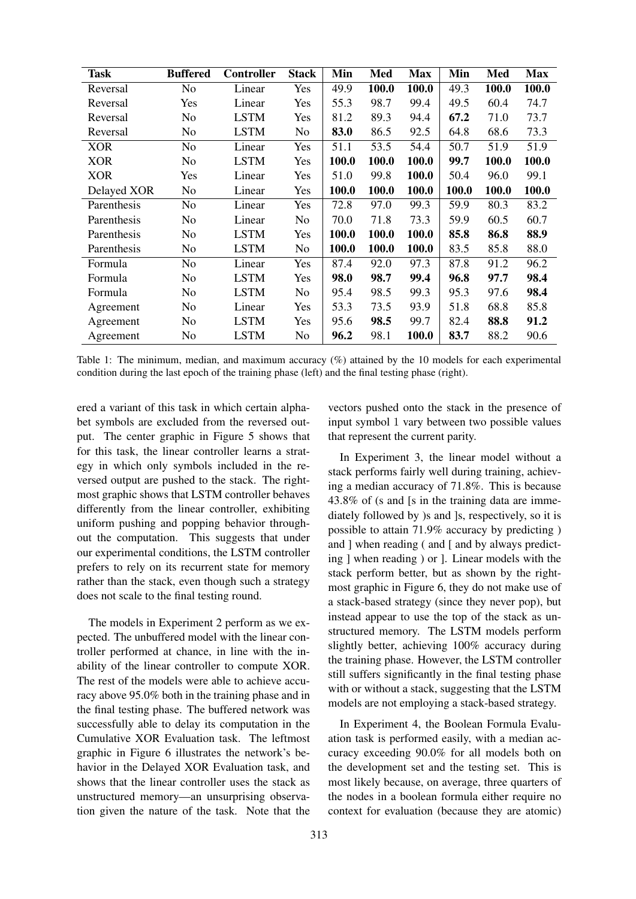| Task        | <b>Buffered</b> | <b>Controller</b> | <b>Stack</b> | Min   | Med   | <b>Max</b> | Min   | Med   | <b>Max</b> |
|-------------|-----------------|-------------------|--------------|-------|-------|------------|-------|-------|------------|
| Reversal    | N <sub>o</sub>  | Linear            | Yes          | 49.9  | 100.0 | 100.0      | 49.3  | 100.0 | 100.0      |
| Reversal    | Yes             | Linear            | Yes          | 55.3  | 98.7  | 99.4       | 49.5  | 60.4  | 74.7       |
| Reversal    | No              | <b>LSTM</b>       | Yes          | 81.2  | 89.3  | 94.4       | 67.2  | 71.0  | 73.7       |
| Reversal    | No              | <b>LSTM</b>       | No.          | 83.0  | 86.5  | 92.5       | 64.8  | 68.6  | 73.3       |
| <b>XOR</b>  | No              | Linear            | Yes          | 51.1  | 53.5  | 54.4       | 50.7  | 51.9  | 51.9       |
| <b>XOR</b>  | No              | <b>LSTM</b>       | Yes          | 100.0 | 100.0 | 100.0      | 99.7  | 100.0 | 100.0      |
| <b>XOR</b>  | Yes             | Linear            | Yes          | 51.0  | 99.8  | 100.0      | 50.4  | 96.0  | 99.1       |
| Delayed XOR | No              | Linear            | Yes          | 100.0 | 100.0 | 100.0      | 100.0 | 100.0 | 100.0      |
| Parenthesis | No              | Linear            | Yes          | 72.8  | 97.0  | 99.3       | 59.9  | 80.3  | 83.2       |
| Parenthesis | No              | Linear            | No.          | 70.0  | 71.8  | 73.3       | 59.9  | 60.5  | 60.7       |
| Parenthesis | No              | <b>LSTM</b>       | Yes          | 100.0 | 100.0 | 100.0      | 85.8  | 86.8  | 88.9       |
| Parenthesis | No              | <b>LSTM</b>       | No.          | 100.0 | 100.0 | 100.0      | 83.5  | 85.8  | 88.0       |
| Formula     | No              | Linear            | Yes          | 87.4  | 92.0  | 97.3       | 87.8  | 91.2  | 96.2       |
| Formula     | No              | <b>LSTM</b>       | Yes          | 98.0  | 98.7  | 99.4       | 96.8  | 97.7  | 98.4       |
| Formula     | No              | <b>LSTM</b>       | No.          | 95.4  | 98.5  | 99.3       | 95.3  | 97.6  | 98.4       |
| Agreement   | N <sub>o</sub>  | Linear            | Yes          | 53.3  | 73.5  | 93.9       | 51.8  | 68.8  | 85.8       |
| Agreement   | N <sub>o</sub>  | <b>LSTM</b>       | Yes          | 95.6  | 98.5  | 99.7       | 82.4  | 88.8  | 91.2       |
| Agreement   | No              | <b>LSTM</b>       | No.          | 96.2  | 98.1  | 100.0      | 83.7  | 88.2  | 90.6       |

Table 1: The minimum, median, and maximum accuracy (%) attained by the 10 models for each experimental condition during the last epoch of the training phase (left) and the final testing phase (right).

ered a variant of this task in which certain alphabet symbols are excluded from the reversed output. The center graphic in Figure 5 shows that for this task, the linear controller learns a strategy in which only symbols included in the reversed output are pushed to the stack. The rightmost graphic shows that LSTM controller behaves differently from the linear controller, exhibiting uniform pushing and popping behavior throughout the computation. This suggests that under our experimental conditions, the LSTM controller prefers to rely on its recurrent state for memory rather than the stack, even though such a strategy does not scale to the final testing round.

The models in Experiment 2 perform as we expected. The unbuffered model with the linear controller performed at chance, in line with the inability of the linear controller to compute XOR. The rest of the models were able to achieve accuracy above 95.0% both in the training phase and in the final testing phase. The buffered network was successfully able to delay its computation in the Cumulative XOR Evaluation task. The leftmost graphic in Figure 6 illustrates the network's behavior in the Delayed XOR Evaluation task, and shows that the linear controller uses the stack as unstructured memory—an unsurprising observation given the nature of the task. Note that the

vectors pushed onto the stack in the presence of input symbol 1 vary between two possible values that represent the current parity.

In Experiment 3, the linear model without a stack performs fairly well during training, achieving a median accuracy of 71.8%. This is because 43.8% of (s and [s in the training data are immediately followed by )s and ]s, respectively, so it is possible to attain 71.9% accuracy by predicting ) and ] when reading ( and [ and by always predicting ] when reading ) or ]. Linear models with the stack perform better, but as shown by the rightmost graphic in Figure 6, they do not make use of a stack-based strategy (since they never pop), but instead appear to use the top of the stack as unstructured memory. The LSTM models perform slightly better, achieving 100% accuracy during the training phase. However, the LSTM controller still suffers significantly in the final testing phase with or without a stack, suggesting that the LSTM models are not employing a stack-based strategy.

In Experiment 4, the Boolean Formula Evaluation task is performed easily, with a median accuracy exceeding 90.0% for all models both on the development set and the testing set. This is most likely because, on average, three quarters of the nodes in a boolean formula either require no context for evaluation (because they are atomic)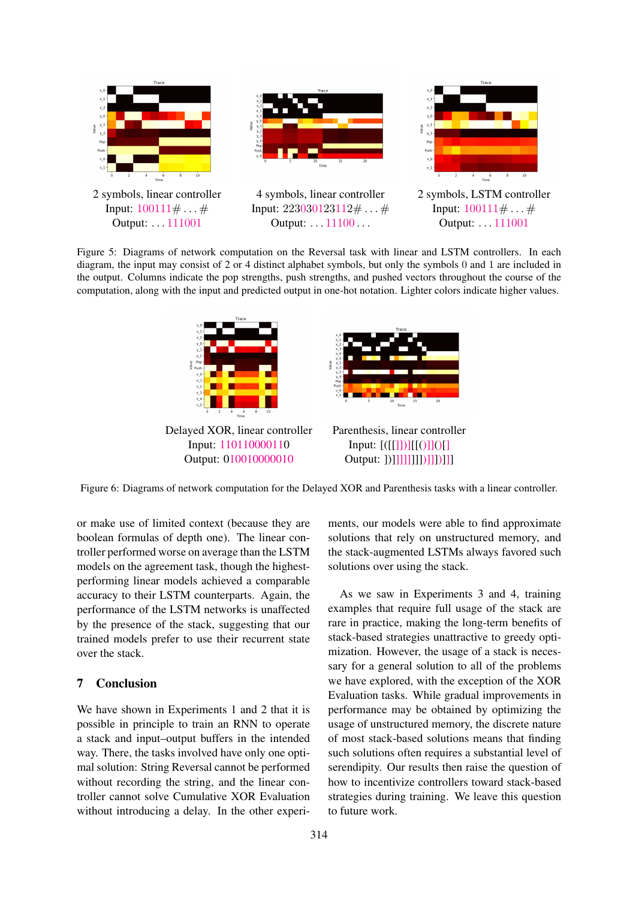

Figure 5: Diagrams of network computation on the Reversal task with linear and LSTM controllers. In each diagram, the input may consist of 2 or 4 distinct alphabet symbols, but only the symbols 0 and 1 are included in the output. Columns indicate the pop strengths, push strengths, and pushed vectors throughout the course of the computation, along with the input and predicted output in one-hot notation. Lighter colors indicate higher values.



Figure 6: Diagrams of network computation for the Delayed XOR and Parenthesis tasks with a linear controller.

or make use of limited context (because they are boolean formulas of depth one). The linear controller performed worse on average than the LSTM models on the agreement task, though the highestperforming linear models achieved a comparable accuracy to their LSTM counterparts. Again, the performance of the LSTM networks is unaffected by the presence of the stack, suggesting that our trained models prefer to use their recurrent state over the stack.

# 7 Conclusion

We have shown in Experiments 1 and 2 that it is possible in principle to train an RNN to operate a stack and input–output buffers in the intended way. There, the tasks involved have only one optimal solution: String Reversal cannot be performed without recording the string, and the linear controller cannot solve Cumulative XOR Evaluation without introducing a delay. In the other experi-

ments, our models were able to find approximate solutions that rely on unstructured memory, and the stack-augmented LSTMs always favored such solutions over using the stack.

As we saw in Experiments 3 and 4, training examples that require full usage of the stack are rare in practice, making the long-term benefits of stack-based strategies unattractive to greedy optimization. However, the usage of a stack is necessary for a general solution to all of the problems we have explored, with the exception of the XOR Evaluation tasks. While gradual improvements in performance may be obtained by optimizing the usage of unstructured memory, the discrete nature of most stack-based solutions means that finding such solutions often requires a substantial level of serendipity. Our results then raise the question of how to incentivize controllers toward stack-based strategies during training. We leave this question to future work.